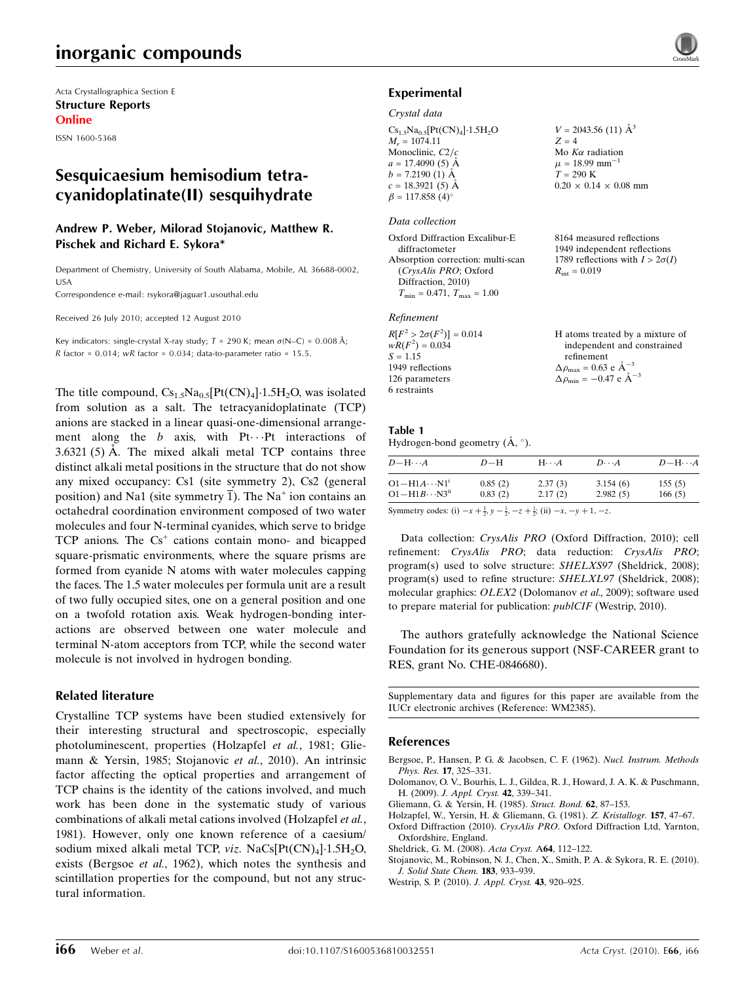## inorganic compounds

Acta Crystallographica Section E Structure Reports Online

ISSN 1600-5368

## Sesquicaesium hemisodium tetracyanidoplatinate(II) sesquihydrate

## Andrew P. Weber, Milorad Stojanovic, Matthew R. Pischek and Richard E. Sykora\*

Department of Chemistry, University of South Alabama, Mobile, AL 36688-0002, USA

Correspondence e-mail: rsykora@jaguar1.usouthal.edu

Received 26 July 2010; accepted 12 August 2010

Key indicators: single-crystal X-ray study;  $T = 290$  K; mean  $\sigma$ (N–C) = 0.008 Å;  $R$  factor = 0.014;  $wR$  factor = 0.034; data-to-parameter ratio = 15.5.

The title compound,  $Cs_{1.5}Na_{0.5}[Pt(CN)_4]\cdot 1.5H_2O$ , was isolated from solution as a salt. The tetracyanidoplatinate (TCP) anions are stacked in a linear quasi-one-dimensional arrangement along the  $b$  axis, with Pt $\cdots$ Pt interactions of  $3.6321(5)$  Å. The mixed alkali metal TCP contains three distinct alkali metal positions in the structure that do not show any mixed occupancy: Cs1 (site symmetry 2), Cs2 (general position) and Na1 (site symmetry  $\overline{1}$ ). The Na<sup>+</sup> ion contains an octahedral coordination environment composed of two water molecules and four N-terminal cyanides, which serve to bridge  $TCP$  anions. The  $Cs<sup>+</sup>$  cations contain mono- and bicapped square-prismatic environments, where the square prisms are formed from cyanide N atoms with water molecules capping the faces. The 1.5 water molecules per formula unit are a result of two fully occupied sites, one on a general position and one on a twofold rotation axis. Weak hydrogen-bonding interactions are observed between one water molecule and terminal N-atom acceptors from TCP, while the second water molecule is not involved in hydrogen bonding.

## Related literature

Crystalline TCP systems have been studied extensively for their interesting structural and spectroscopic, especially photoluminescent, properties (Holzapfel et al., 1981; Gliemann & Yersin, 1985; Stojanovic et al., 2010). An intrinsic factor affecting the optical properties and arrangement of TCP chains is the identity of the cations involved, and much work has been done in the systematic study of various combinations of alkali metal cations involved (Holzapfel et al., 1981). However, only one known reference of a caesium/ sodium mixed alkali metal TCP, *viz*. NaCs[Pt(CN)<sub>4</sub>]·1.5H<sub>2</sub>O, exists (Bergsoe et al., 1962), which notes the synthesis and scintillation properties for the compound, but not any structural information.



 $V = 2043.56$  (11)  $\AA^3$ 

 $0.20 \times 0.14 \times 0.08$  mm

8164 measured reflections 1949 independent reflections 1789 reflections with  $I > 2\sigma(I)$ 

H atoms treated by a mixture of independent and constrained

 $R_{\text{int}} = 0.019$ 

refinement  $\Delta \rho_{\text{max}} = 0.63 \text{ e A}^{-3}$  $\Delta \rho_{\rm min} = -0.47 \text{ e } \text{\AA}^{-3}$ 

 $Z = 4$ Mo  $K\alpha$  radiation  $\mu = 18.99$  mm<sup>-1</sup>  $T = 290 \text{ K}$ 

#### Experimental

#### Crystal data

 $Cs_{1.5}Na_{0.5}[Pt(CN)_4]\cdot 1.5H_2O$  $M_r = 1074.11$ Monoclinic,  $C2/c$  $a = 17.4090(5)$  Å  $b = 7.2190$  (1) Å  $c = 18.3921(5)$  Å  $\beta = 117.858 \ (4)^{\circ}$ 

#### Data collection

Oxford Diffraction Excalibur-E diffractometer Absorption correction: multi-scan (CrysAlis PRO; Oxford Diffraction, 2010)  $T_{\text{min}} = 0.471, T_{\text{max}} = 1.00$ 

#### Refinement

| $R[F^2 > 2\sigma(F^2)] = 0.014$ |  |
|---------------------------------|--|
| $wR(F^2) = 0.034$               |  |
| $S = 1.15$                      |  |
| 1949 reflections                |  |
| 126 parameters                  |  |
| 6 restraints                    |  |

## Table 1

Hydrogen-bond geometry  $(\AA, \degree)$ .

| $D - H \cdots A$          | $D-H$   | $H\cdots A$ | $D\cdots A$ | $D - H \cdots A$ |
|---------------------------|---------|-------------|-------------|------------------|
| $O1 - H1A \cdots N1$      | 0.85(2) | 2.37(3)     | 3.154(6)    | 155(5)           |
| $O1 - H1B \cdots N3^{ii}$ | 0.83(2) | 2.17(2)     | 2.982(5)    | 166(5)           |

Symmetry codes: (i)  $-x + \frac{1}{2}$ ,  $y - \frac{1}{2}$ ,  $-z + \frac{1}{2}$ ; (ii)  $-x$ ,  $-y + 1$ ,  $-z$ .

Data collection: CrysAlis PRO (Oxford Diffraction, 2010); cell refinement: CrysAlis PRO; data reduction: CrysAlis PRO; program(s) used to solve structure: SHELXS97 (Sheldrick, 2008); program(s) used to refine structure: SHELXL97 (Sheldrick, 2008); molecular graphics: OLEX2 (Dolomanov et al., 2009); software used to prepare material for publication: publCIF (Westrip, 2010).

The authors gratefully acknowledge the National Science Foundation for its generous support (NSF-CAREER grant to RES, grant No. CHE-0846680).

Supplementary data and figures for this paper are available from the IUCr electronic archives (Reference: WM2385).

#### References

- [Bergsoe, P., Hansen, P. G. & Jacobsen, C. F. \(1962\).](https://scripts.iucr.org/cgi-bin/cr.cgi?rm=pdfbb&cnor=wm2385&bbid=BB1) Nucl. Instrum. Methods [Phys. Res.](https://scripts.iucr.org/cgi-bin/cr.cgi?rm=pdfbb&cnor=wm2385&bbid=BB1) 17, 325–331.
- [Dolomanov, O. V., Bourhis, L. J., Gildea, R. J., Howard, J. A. K. & Puschmann,](https://scripts.iucr.org/cgi-bin/cr.cgi?rm=pdfbb&cnor=wm2385&bbid=BB2) H. (2009). [J. Appl. Cryst.](https://scripts.iucr.org/cgi-bin/cr.cgi?rm=pdfbb&cnor=wm2385&bbid=BB2) 42, 339–341.
- [Gliemann, G. & Yersin, H. \(1985\).](https://scripts.iucr.org/cgi-bin/cr.cgi?rm=pdfbb&cnor=wm2385&bbid=BB3) Struct. Bond. 62, 87–153.
- [Holzapfel, W., Yersin, H. & Gliemann, G. \(1981\).](https://scripts.iucr.org/cgi-bin/cr.cgi?rm=pdfbb&cnor=wm2385&bbid=BB4) Z. Kristallogr. 157, 47–67. Oxford Diffraction (2010). CrysAlis PRO[. Oxford Diffraction Ltd, Yarnton,](https://scripts.iucr.org/cgi-bin/cr.cgi?rm=pdfbb&cnor=wm2385&bbid=BB5) [Oxfordshire, England.](https://scripts.iucr.org/cgi-bin/cr.cgi?rm=pdfbb&cnor=wm2385&bbid=BB5)
- [Sheldrick, G. M. \(2008\).](https://scripts.iucr.org/cgi-bin/cr.cgi?rm=pdfbb&cnor=wm2385&bbid=BB6) Acta Cryst. A64, 112–122.
- [Stojanovic, M., Robinson, N. J., Chen, X., Smith, P. A. & Sykora, R. E. \(2010\).](https://scripts.iucr.org/cgi-bin/cr.cgi?rm=pdfbb&cnor=wm2385&bbid=BB7) [J. Solid State Chem.](https://scripts.iucr.org/cgi-bin/cr.cgi?rm=pdfbb&cnor=wm2385&bbid=BB7) 183, 933–939.
- [Westrip, S. P. \(2010\).](https://scripts.iucr.org/cgi-bin/cr.cgi?rm=pdfbb&cnor=wm2385&bbid=BB8) J. Appl. Cryst. 43, 920–925.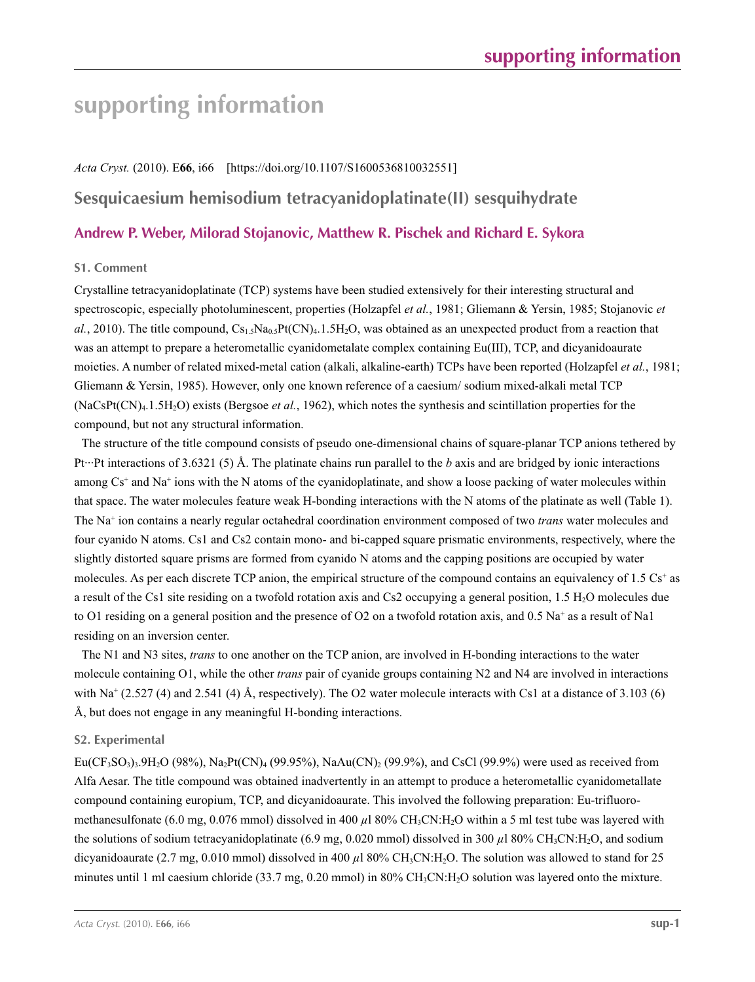# **supporting information**

#### *Acta Cryst.* (2010). E**66**, i66 [https://doi.org/10.1107/S1600536810032551]

## **Sesquicaesium hemisodium tetracyanidoplatinate(II) sesquihydrate**

## **Andrew P. Weber, Milorad Stojanovic, Matthew R. Pischek and Richard E. Sykora**

## **S1. Comment**

Crystalline tetracyanidoplatinate (TCP) systems have been studied extensively for their interesting structural and spectroscopic, especially photoluminescent, properties (Holzapfel *et al.*, 1981; Gliemann & Yersin, 1985; Stojanovic *et al.*, 2010). The title compound,  $Cs_{1.5}Na_{0.5}Pt(CN)<sub>4</sub>$ . 1.5H<sub>2</sub>O, was obtained as an unexpected product from a reaction that was an attempt to prepare a heterometallic cyanidometalate complex containing Eu(III), TCP, and dicyanidoaurate moieties. A number of related mixed-metal cation (alkali, alkaline-earth) TCPs have been reported (Holzapfel *et al.*, 1981; Gliemann & Yersin, 1985). However, only one known reference of a caesium/ sodium mixed-alkali metal TCP (NaCsPt(CN)4.1.5H2O) exists (Bergsoe *et al.*, 1962), which notes the synthesis and scintillation properties for the compound, but not any structural information.

The structure of the title compound consists of pseudo one-dimensional chains of square-planar TCP anions tethered by Pt···Pt interactions of 3.6321 (5) Å. The platinate chains run parallel to the *b* axis and are bridged by ionic interactions among  $Cs<sup>+</sup>$  and Na<sup>+</sup> ions with the N atoms of the cyanidoplatinate, and show a loose packing of water molecules within that space. The water molecules feature weak H-bonding interactions with the N atoms of the platinate as well (Table 1). The Na+ ion contains a nearly regular octahedral coordination environment composed of two *trans* water molecules and four cyanido N atoms. Cs1 and Cs2 contain mono- and bi-capped square prismatic environments, respectively, where the slightly distorted square prisms are formed from cyanido N atoms and the capping positions are occupied by water molecules. As per each discrete TCP anion, the empirical structure of the compound contains an equivalency of  $1.5 \text{ Cs}^+$  as a result of the Cs1 site residing on a twofold rotation axis and Cs2 occupying a general position, 1.5 H2O molecules due to O1 residing on a general position and the presence of O2 on a twofold rotation axis, and 0.5 Na<sup>+</sup> as a result of Na1 residing on an inversion center.

The N1 and N3 sites, *trans* to one another on the TCP anion, are involved in H-bonding interactions to the water molecule containing O1, while the other *trans* pair of cyanide groups containing N2 and N4 are involved in interactions with Na<sup>+</sup> (2.527 (4) and 2.541 (4) Å, respectively). The O2 water molecule interacts with Cs1 at a distance of 3.103 (6) Å, but does not engage in any meaningful H-bonding interactions.

## **S2. Experimental**

 $Eu(CF_3SO_3)3.9H_2O (98\%)$ , Na<sub>2</sub>Pt(CN)<sub>4</sub> (99.95%), NaAu(CN)<sub>2</sub> (99.9%), and CsCl (99.9%) were used as received from Alfa Aesar. The title compound was obtained inadvertently in an attempt to produce a heterometallic cyanidometallate compound containing europium, TCP, and dicyanidoaurate. This involved the following preparation: Eu-trifluoromethanesulfonate (6.0 mg, 0.076 mmol) dissolved in 400  $\mu$ l 80% CH<sub>3</sub>CN:H<sub>2</sub>O within a 5 ml test tube was layered with the solutions of sodium tetracyanidoplatinate (6.9 mg, 0.020 mmol) dissolved in 300  $\mu$ l 80% CH<sub>3</sub>CN:H<sub>2</sub>O, and sodium dicyanidoaurate (2.7 mg, 0.010 mmol) dissolved in 400  $\mu$ l 80% CH<sub>3</sub>CN:H<sub>2</sub>O. The solution was allowed to stand for 25 minutes until 1 ml caesium chloride (33.7 mg, 0.20 mmol) in  $80\% \text{ CH}_3\text{CN:H}_2\text{O}$  solution was layered onto the mixture.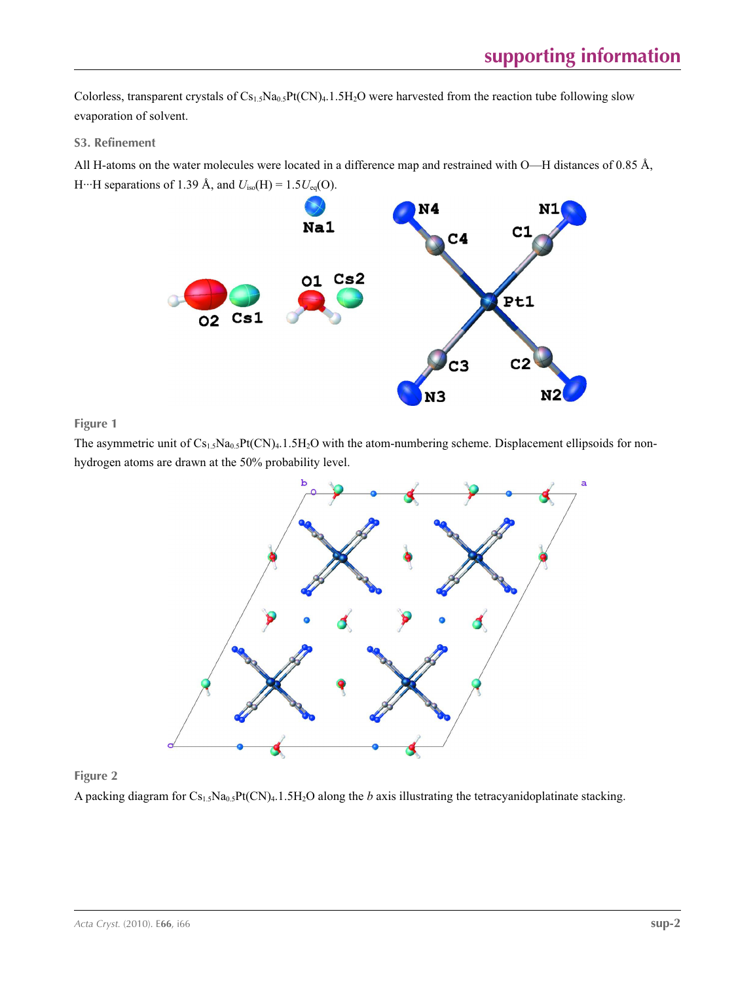Colorless, transparent crystals of Cs<sub>1.5</sub>Na<sub>0.5</sub>Pt(CN)<sub>4</sub>.1.5H<sub>2</sub>O were harvested from the reaction tube following slow evaporation of solvent.

## **S3. Refinement**

All H-atoms on the water molecules were located in a difference map and restrained with O—H distances of 0.85 Å, H…H separations of 1.39 Å, and  $U_{iso}(H) = 1.5U_{eq}(O)$ .



**Figure 1**

The asymmetric unit of  $Cs_{1.5}Na_{0.5}Pt(CN)_4.1.5H_2O$  with the atom-numbering scheme. Displacement ellipsoids for nonhydrogen atoms are drawn at the 50% probability level.



## **Figure 2**

A packing diagram for Cs1.5Na0.5Pt(CN)4.1.5H2O along the *b* axis illustrating the tetracyanidoplatinate stacking.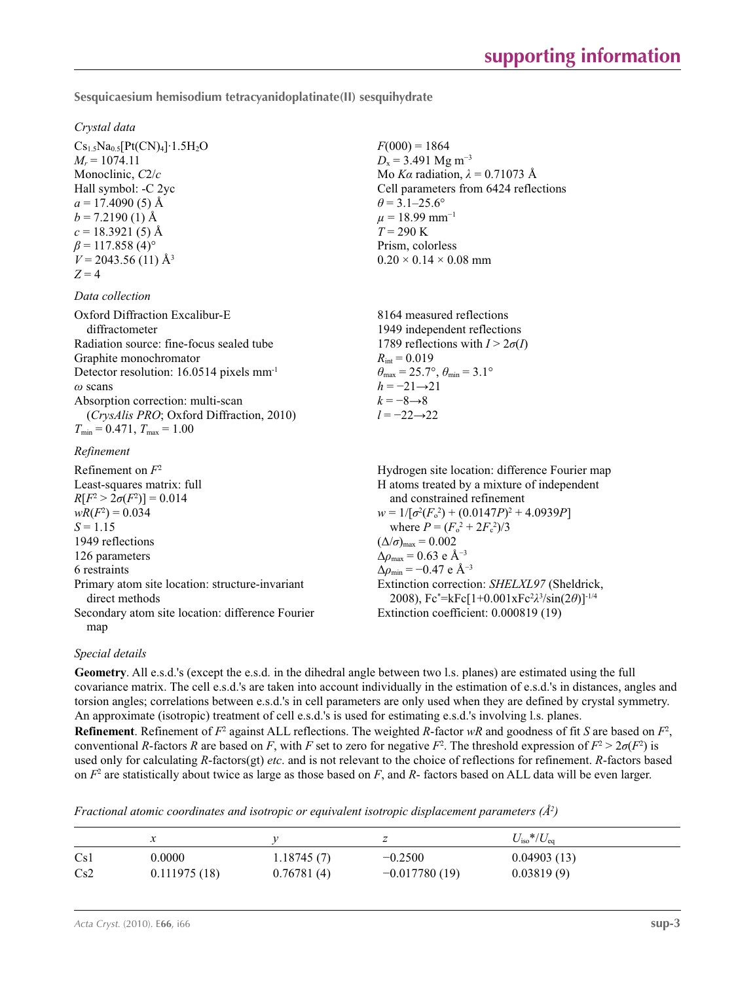**Sesquicaesium hemisodium tetracyanidoplatinate(II) sesquihydrate** 

#### *Crystal data*

 $Cs_{1.5}Na_{0.5}[Pt(CN)_4]\cdot1.5H_2O$  $M_r = 1074.11$ Monoclinic, *C*2/*c* Hall symbol: -C 2yc  $a = 17.4090(5)$  Å  $b = 7.2190$  (1) Å  $c = 18.3921(5)$  Å  $\beta$  = 117.858 (4)<sup>o</sup>  $V = 2043.56(11)$  Å<sup>3</sup>  $Z = 4$ 

#### *Data collection*

| Oxford Diffraction Excalibur-E                       | 8164 measured reflections                                               |
|------------------------------------------------------|-------------------------------------------------------------------------|
| diffractometer                                       | 1949 independent reflections                                            |
| Radiation source: fine-focus sealed tube             | 1789 reflections with $I > 2\sigma(I)$                                  |
| Graphite monochromator                               | $R_{\text{int}} = 0.019$                                                |
| Detector resolution: 16.0514 pixels mm <sup>-1</sup> | $\theta_{\text{max}} = 25.7^{\circ}, \theta_{\text{min}} = 3.1^{\circ}$ |
| $\omega$ scans                                       | $h = -21 \rightarrow 21$                                                |
| Absorption correction: multi-scan                    | $k = -8 \rightarrow 8$                                                  |
| (CrysAlis PRO; Oxford Diffraction, 2010)             | $l = -22 \rightarrow 22$                                                |
| $T_{\min} = 0.471$ , $T_{\max} = 1.00$               |                                                                         |
|                                                      |                                                                         |

#### *Refinement*

Refinement on *F*<sup>2</sup> Least-squares matrix: full *R*[ $F^2 > 2\sigma(F^2)$ ] = 0.014  $wR(F^2) = 0.034$  $S = 1.15$ 1949 reflections 126 parameters 6 restraints Primary atom site location: structure-invariant direct methods Secondary atom site location: difference Fourier map Hydrogen site location: difference Fourier map H atoms treated by a mixture of independent and constrained refinement  $w = 1/[\sigma^2 (F_o^2) + (0.0147P)^2 + 4.0939P]$ where  $P = (F_o^2 + 2F_c^2)/3$  $(\Delta/\sigma)_{\text{max}} = 0.002$  $\Delta\rho_{\text{max}} = 0.63$  e Å<sup>-3</sup>  $\Delta\rho_{\rm min} = -0.47$  e Å<sup>-3</sup> Extinction correction: *SHELXL97* (Sheldrick, 2008), Fc\* =kFc[1+0.001xFc2 *λ*3 /sin(2*θ*)]-1/4 Extinction coefficient: 0.000819 (19)

## *Special details*

**Geometry**. All e.s.d.'s (except the e.s.d. in the dihedral angle between two l.s. planes) are estimated using the full covariance matrix. The cell e.s.d.'s are taken into account individually in the estimation of e.s.d.'s in distances, angles and torsion angles; correlations between e.s.d.'s in cell parameters are only used when they are defined by crystal symmetry. An approximate (isotropic) treatment of cell e.s.d.'s is used for estimating e.s.d.'s involving l.s. planes.

 $F(000) = 1864$  $D_x$  = 3.491 Mg m<sup>-3</sup>

 $\theta$  = 3.1–25.6°  $\mu = 18.99$  mm<sup>-1</sup>  $T = 290 K$ Prism, colorless  $0.20 \times 0.14 \times 0.08$  mm

Mo *Kα* radiation, *λ* = 0.71073 Å Cell parameters from 6424 reflections

**Refinement**. Refinement of  $F^2$  against ALL reflections. The weighted *R*-factor  $wR$  and goodness of fit *S* are based on  $F^2$ , conventional *R*-factors *R* are based on *F*, with *F* set to zero for negative *F*<sup>2</sup>. The threshold expression of  $F^2 > 2\sigma(F^2)$  is used only for calculating *R*-factors(gt) *etc*. and is not relevant to the choice of reflections for refinement. *R*-factors based on *F*<sup>2</sup> are statistically about twice as large as those based on *F*, and *R*- factors based on ALL data will be even larger.

*Fractional atomic coordinates and isotropic or equivalent isotropic displacement parameters (Å<sup>2</sup>)* 

|     | ∼            |            |                 | $U_{\rm iso}*/U_{\rm eq}$ |
|-----|--------------|------------|-----------------|---------------------------|
| Cs1 | 0.0000       | 1.18745(7) | $-0.2500$       | 0.04903(13)               |
| Cs2 | 0.111975(18) | 0.76781(4) | $-0.017780(19)$ | 0.03819(9)                |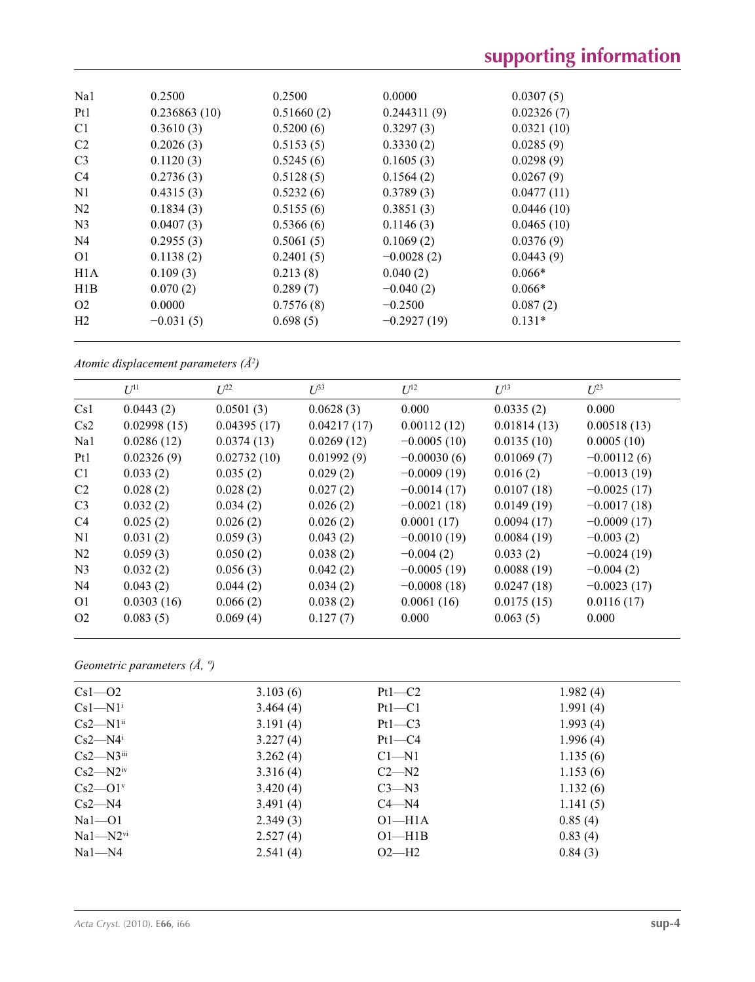# **supporting information**

| Na1              | 0.2500       | 0.2500     | 0.0000        | 0.0307(5)  |
|------------------|--------------|------------|---------------|------------|
| Pt1              | 0.236863(10) | 0.51660(2) | 0.244311(9)   | 0.02326(7) |
| C <sub>1</sub>   | 0.3610(3)    | 0.5200(6)  | 0.3297(3)     | 0.0321(10) |
| C <sub>2</sub>   | 0.2026(3)    | 0.5153(5)  | 0.3330(2)     | 0.0285(9)  |
| C <sub>3</sub>   | 0.1120(3)    | 0.5245(6)  | 0.1605(3)     | 0.0298(9)  |
| C <sub>4</sub>   | 0.2736(3)    | 0.5128(5)  | 0.1564(2)     | 0.0267(9)  |
| N1               | 0.4315(3)    | 0.5232(6)  | 0.3789(3)     | 0.0477(11) |
| N <sub>2</sub>   | 0.1834(3)    | 0.5155(6)  | 0.3851(3)     | 0.0446(10) |
| N <sub>3</sub>   | 0.0407(3)    | 0.5366(6)  | 0.1146(3)     | 0.0465(10) |
| N <sub>4</sub>   | 0.2955(3)    | 0.5061(5)  | 0.1069(2)     | 0.0376(9)  |
| O <sub>1</sub>   | 0.1138(2)    | 0.2401(5)  | $-0.0028(2)$  | 0.0443(9)  |
| H <sub>1</sub> A | 0.109(3)     | 0.213(8)   | 0.040(2)      | $0.066*$   |
| H1B              | 0.070(2)     | 0.289(7)   | $-0.040(2)$   | $0.066*$   |
| O <sub>2</sub>   | 0.0000       | 0.7576(8)  | $-0.2500$     | 0.087(2)   |
| H <sub>2</sub>   | $-0.031(5)$  | 0.698(5)   | $-0.2927(19)$ | $0.131*$   |

*Atomic displacement parameters (Å2 )*

|                 | $U^{11}$    | $L^{22}$    | $U^{\beta 3}$ | $U^{12}$      | $U^{13}$    | $U^{23}$      |
|-----------------|-------------|-------------|---------------|---------------|-------------|---------------|
| Cs1             | 0.0443(2)   | 0.0501(3)   | 0.0628(3)     | 0.000         | 0.0335(2)   | 0.000         |
| Cs2             | 0.02998(15) | 0.04395(17) | 0.04217(17)   | 0.00112(12)   | 0.01814(13) | 0.00518(13)   |
| Na1             | 0.0286(12)  | 0.0374(13)  | 0.0269(12)    | $-0.0005(10)$ | 0.0135(10)  | 0.0005(10)    |
| P <sub>t1</sub> | 0.02326(9)  | 0.02732(10) | 0.01992(9)    | $-0.00030(6)$ | 0.01069(7)  | $-0.00112(6)$ |
| C <sub>1</sub>  | 0.033(2)    | 0.035(2)    | 0.029(2)      | $-0.0009(19)$ | 0.016(2)    | $-0.0013(19)$ |
| C <sub>2</sub>  | 0.028(2)    | 0.028(2)    | 0.027(2)      | $-0.0014(17)$ | 0.0107(18)  | $-0.0025(17)$ |
| C <sub>3</sub>  | 0.032(2)    | 0.034(2)    | 0.026(2)      | $-0.0021(18)$ | 0.0149(19)  | $-0.0017(18)$ |
| C <sub>4</sub>  | 0.025(2)    | 0.026(2)    | 0.026(2)      | 0.0001(17)    | 0.0094(17)  | $-0.0009(17)$ |
| N1              | 0.031(2)    | 0.059(3)    | 0.043(2)      | $-0.0010(19)$ | 0.0084(19)  | $-0.003(2)$   |
| N <sub>2</sub>  | 0.059(3)    | 0.050(2)    | 0.038(2)      | $-0.004(2)$   | 0.033(2)    | $-0.0024(19)$ |
| N <sub>3</sub>  | 0.032(2)    | 0.056(3)    | 0.042(2)      | $-0.0005(19)$ | 0.0088(19)  | $-0.004(2)$   |
| N <sub>4</sub>  | 0.043(2)    | 0.044(2)    | 0.034(2)      | $-0.0008(18)$ | 0.0247(18)  | $-0.0023(17)$ |
| O <sub>1</sub>  | 0.0303(16)  | 0.066(2)    | 0.038(2)      | 0.0061(16)    | 0.0175(15)  | 0.0116(17)    |
| O <sub>2</sub>  | 0.083(5)    | 0.069(4)    | 0.127(7)      | 0.000         | 0.063(5)    | 0.000         |

*Geometric parameters (Å, º)*

| $Cs1 - O2$                | 3.103(6) | $Pt1-C2$   | 1.982(4) |
|---------------------------|----------|------------|----------|
| $Cs1-M1$ <sup>i</sup>     | 3.464(4) | $Pt1-C1$   | 1.991(4) |
| $Cs2-M1ii$                | 3.191(4) | $Pt1-C3$   | 1.993(4) |
| $Cs2-M4$                  | 3.227(4) | $Pt1 - C4$ | 1.996(4) |
| $Cs2 - N3$                | 3.262(4) | $C1 - N1$  | 1.135(6) |
| $Cs2-M2iv$                | 3.316(4) | $C2 - N2$  | 1.153(6) |
| $Cs2$ — $O1$ <sup>v</sup> | 3.420(4) | $C3 - N3$  | 1.132(6) |
| $Cs2-M4$                  | 3.491(4) | $C4 - N4$  | 1.141(5) |
| $Na1 - O1$                | 2.349(3) | $O1 - H1A$ | 0.85(4)  |
| $Na1 - N2$ <sup>vi</sup>  | 2.527(4) | $O1 - H1B$ | 0.83(4)  |
| $Na1 - N4$                | 2.541(4) | $O2-H2$    | 0.84(3)  |
|                           |          |            |          |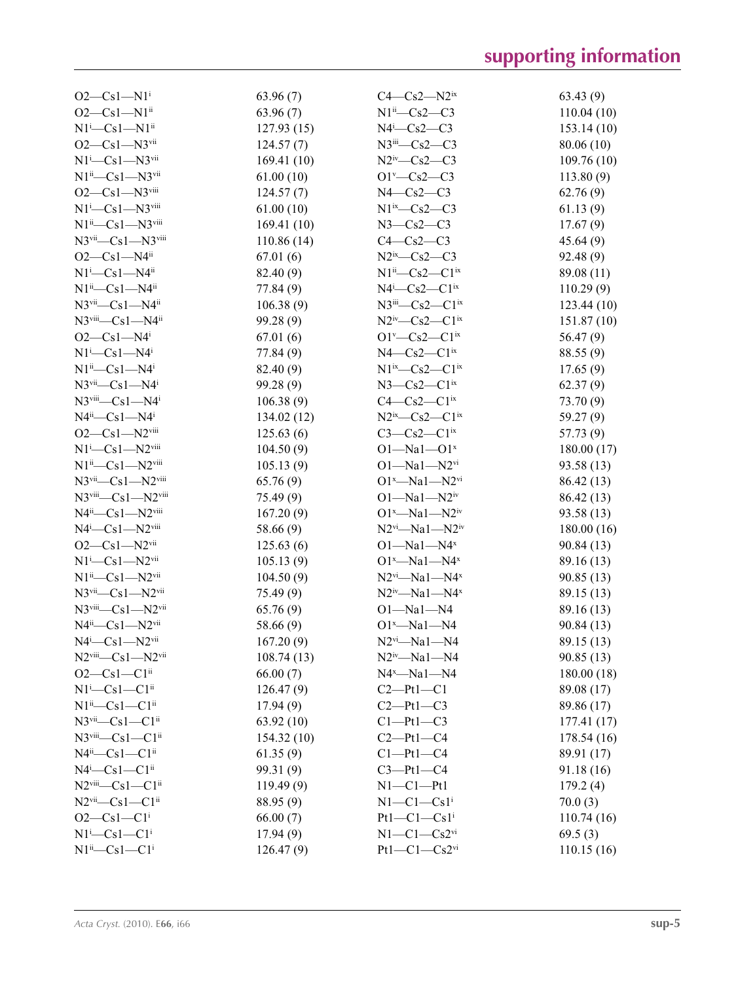| $O2-Cs1-N1$ <sup>i</sup>                           | 63.96(7)    | $C4-Cs2-N2ix$                                    | 63.43(9)    |
|----------------------------------------------------|-------------|--------------------------------------------------|-------------|
| $O2-Cs1-N1^{ii}$                                   | 63.96(7)    | $N1^{ii}$ — $Cs2$ — $C3$                         | 110.04(10)  |
| $N1^i$ — $Cs1$ — $N1^i$                            | 127.93(15)  | $N4$ <sup>i</sup> -Cs2-C3                        | 153.14(10)  |
| $O2-Cs1-N3$ <sup>vii</sup>                         | 124.57(7)   | $N3$ <sup>iii</sup> — $Cs2$ — $C3$               | 80.06 (10)  |
| $N1^i$ — $Cs1$ — $N3$ <sup>vii</sup>               | 169.41(10)  | $N2^{\text{iv}}$ - Cs2 - C3                      | 109.76(10)  |
| $N1^{ii}$ - Cs1 - N3 $v$ <sup>ii</sup>             | 61.00(10)   | $O1^{\nu}$ -Cs2-C3                               | 113.80(9)   |
| $O2-Cs1-N3$ <sup>viii</sup>                        | 124.57(7)   | $N4-Cs2-C3$                                      | 62.76(9)    |
| $N1^i$ — $Cs1$ — $N3$ <sup>viii</sup>              | 61.00(10)   | $N1^{ix}-Cs2-C3$                                 | 61.13(9)    |
| $N1^{ii}$ - Cs1 - N3 <sup>viii</sup>               | 169.41(10)  | $N3-Cs2-C3$                                      | 17.67(9)    |
| N3vii-Cs1-N3viii                                   | 110.86(14)  | $C4 - Cs2 - C3$                                  | 45.64(9)    |
| $O2-Cs1-N4$ <sup>ii</sup>                          | 67.01(6)    | $N2^{ix}$ — $Cs2$ — $C3$                         | 92.48 (9)   |
| $N1^i$ — $Cs1$ — $N4^{ii}$                         | 82.40 (9)   | $N1^{ii}$ — $Cs2$ — $C1^{ix}$                    | 89.08 (11)  |
| $N1^{ii}$ — $Cs1$ — $N4^{ii}$                      | 77.84 (9)   | $N4^i$ — $Cs2$ — $Cl^{ix}$                       | 110.29(9)   |
| $N3$ <sup>vii</sup> — $Cs1$ — $N4$ <sup>ii</sup>   | 106.38(9)   | $N3$ <sup>iii</sup> — $Cs2$ — $C1$ <sup>ix</sup> | 123.44(10)  |
| $N3$ <sup>viii</sup> — $Cs1$ — $N4$ <sup>ii</sup>  | 99.28 (9)   | $N2^{iv}$ — $Cs2$ — $C1^{ix}$                    | 151.87(10)  |
| $O2-Cs1-N4i$                                       | 67.01(6)    | $O1^v$ — $Cs2$ — $Cl^{ix}$                       | 56.47(9)    |
| $N1^i$ -Cs1-N4 <sup>i</sup>                        | 77.84 (9)   | $N4-Cs2-C1ix$                                    | 88.55 (9)   |
| $N1^{ii}$ — $Cs1$ — $N4^{i}$                       | 82.40 (9)   | $N1^{ix}$ — $Cs2$ — $C1^{ix}$                    | 17.65(9)    |
| $N3$ <sup>vii</sup> — $Cs1 - N4$ <sup>i</sup>      | 99.28 (9)   | $N3$ — $Cs2$ — $Clix$                            | 62.37(9)    |
| $N3$ <sup>viii</sup> — $Cs1$ — $N4$ <sup>i</sup>   | 106.38(9)   | $C4-Cs2-C1ix$                                    | 73.70 (9)   |
| $N4^{ii}$ — $Cs1$ — $N4^{i}$                       | 134.02 (12) | $N2^{ix}$ — $Cs2$ — $C1^{ix}$                    | 59.27 (9)   |
| $O2-Cs1-N2$ <sup>viii</sup>                        | 125.63(6)   | $C3-Cs2-C1$ <sup>ix</sup>                        | 57.73 (9)   |
| $N1$ <sup>i</sup> -Cs1- $N2$ <sup>viii</sup>       | 104.50(9)   | $O1 - Na1 - O1^x$                                | 180.00(17)  |
| $N1^{ii}$ - Cs1 - N2 $v$ <sup>iii</sup>            | 105.13(9)   | $O1 - Na1 - N2$ <sup>vi</sup>                    | 93.58 (13)  |
| $N3$ <sup>vii</sup> - $Cs1 - N2$ <sup>viii</sup>   | 65.76(9)    | $O1^x$ —Na1—N2 $v$ i                             | 86.42 (13)  |
| N3viii-Cs1-N2viii                                  | 75.49 (9)   | $O1 - Na1 - N2$ <sup>iv</sup>                    | 86.42 (13)  |
| $N4^{ii}$ — $Cs1$ — $N2^{viii}$                    | 167.20(9)   | $O1^x$ —Na1—N2 <sup>iv</sup>                     | 93.58 (13)  |
| $N4^i$ — $Cs1$ — $N2$ <sup>viii</sup>              | 58.66 (9)   | $N2^{vi}$ — $Na1$ — $N2^{iv}$                    | 180.00(16)  |
| $O2-Cs1-N2$ <sup>vii</sup>                         | 125.63(6)   | $O1 - Na1 - N4^x$                                | 90.84 (13)  |
| $N1^i$ — $Cs1$ — $N2$ <sup>vii</sup>               | 105.13(9)   | $O1^x$ —Na1—N4 <sup>x</sup>                      | 89.16 (13)  |
| $N1^{ii}$ — $Cs1$ — $N2^{vii}$                     | 104.50(9)   | $N2$ <sup>vi</sup><br>-- Na1--- N4 <sup>x</sup>  | 90.85(13)   |
| $N3$ <sup>vii</sup> — $Cs1$ — $N2$ <sup>vii</sup>  | 75.49(9)    | $N2^{\text{iv}} - Na1 - N4^{\text{x}}$           | 89.15 (13)  |
| $N3$ <sup>viii</sup> — $Cs1 - N2$ <sup>vii</sup>   | 65.76(9)    | $O1 - Na1 - N4$                                  | 89.16 (13)  |
| $N4^{ii}$ — $Cs1$ — $N2^{vii}$                     | 58.66 (9)   | $O1^x$ -Na1-N4                                   | 90.84 (13)  |
| $N4$ <sup>i</sup> -Cs1- $N2$ <sup>vii</sup>        | 167.20(9)   | $N2$ <sup>vi</sup> -Na1-N4                       | 89.15 (13)  |
| $N2$ <sup>viii</sup> — $Cs1$ — $N2$ <sup>vii</sup> | 108.74(13)  | $N2^{\text{iv}} - Na1 - N4$                      | 90.85(13)   |
| $O2-Cs1-C1$ <sup>ii</sup>                          | 66.00(7)    | $N4^x$ -Na1-N4                                   | 180.00(18)  |
| $N1^i$ — $Cs1$ — $Cl$ <sup>ii</sup>                | 126.47(9)   | $C2-Pt1-C1$                                      | 89.08 (17)  |
| $N1^{ii}$ — $Cs1$ — $C1^{ii}$                      | 17.94(9)    | $C2-Pt1-C3$                                      | 89.86 (17)  |
| $N3$ <sup>vii</sup> — $Cs1$ — $Cl$ <sup>ii</sup>   | 63.92(10)   | $C1-Pt1-C3$                                      | 177.41 (17) |
| $N3$ <sup>viii</sup> — $Cs1$ — $Cl$ <sup>ii</sup>  | 154.32(10)  | $C2-Pt1-C4$                                      | 178.54(16)  |
| $N4^{ii}$ — $Cs1$ — $Cl$ <sup>ii</sup>             | 61.35(9)    | $Cl-Pt1-C4$                                      | 89.91 (17)  |
| $N4^i$ — $Cs1$ — $Cl$ <sup>ii</sup>                | 99.31 (9)   | $C3 - Pt1 - C4$                                  | 91.18 (16)  |
| $N2$ <sup>viii</sup> — $Cs1$ — $C1$ <sup>ii</sup>  | 119.49(9)   | $N1-C1-Pt1$                                      | 179.2(4)    |
| $N2$ <sup>vii</sup> — $Cs1$ — $Cl$ <sup>ii</sup>   | 88.95 (9)   | $N1-C1-Cs1$ <sup>i</sup>                         | 70.0(3)     |
| $O2-Cs1-C1$ <sup>i</sup>                           | 66.00(7)    | $Pt1-C1-Cs1$ <sup>i</sup>                        | 110.74(16)  |
| $N1^i$ — $Cs1$ — $C1^i$                            | 17.94(9)    | $N1-C1-Cs2vi$                                    | 69.5(3)     |
| $N1^{ii}$ - Cs1 - C1 <sup>i</sup>                  | 126.47(9)   | $Pt1-C1-Cs2vi$                                   | 110.15(16)  |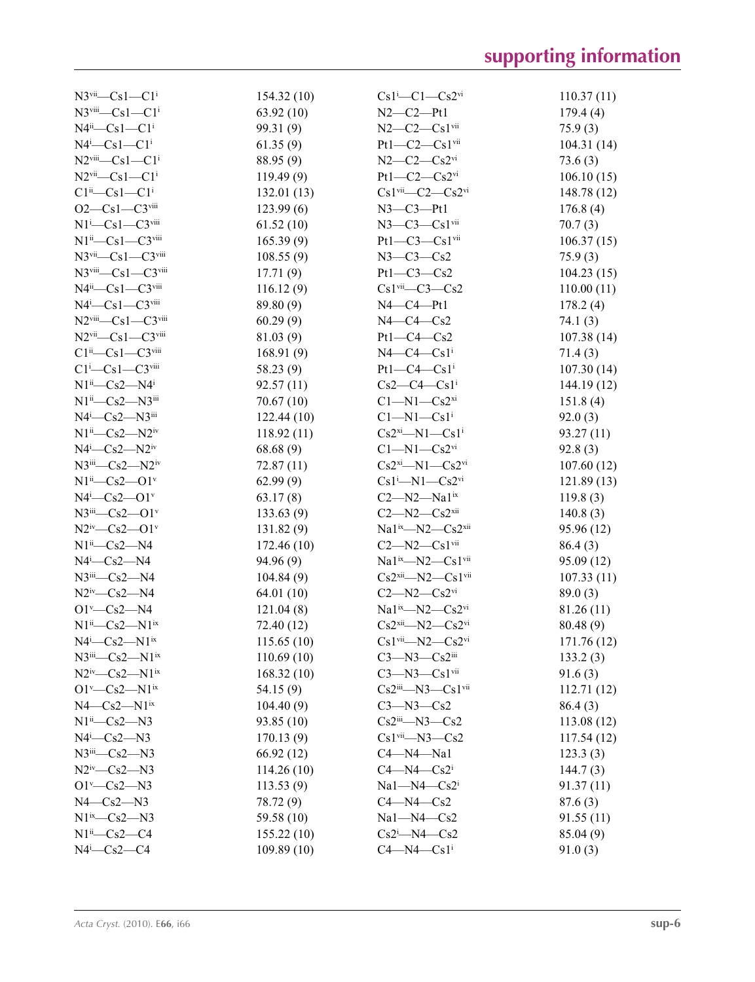| $N3$ <sup>vii</sup> — $Cs1$ — $C1$ <sup>i</sup>     | 154.32(10)  | $Cs1^i$ - $Cl$ - $Cs2^{vi}$                       | 110.37(11)  |
|-----------------------------------------------------|-------------|---------------------------------------------------|-------------|
| $N3$ <sup>viii</sup> — $Cs1$ — $Cli$                | 63.92(10)   | $N2-C2-Pt1$                                       | 179.4(4)    |
| $N4^i$ - $Cs1$ - $Cl^i$                             | 99.31 (9)   | $N2-C2-Cs1$ <sup>vii</sup>                        | 75.9(3)     |
| $N4^i$ — $Cs1$ — $Cl^i$                             | 61.35(9)    | $Pt1-C2-Cs1$ <sup>vii</sup>                       | 104.31(14)  |
| $N2$ <sup>viii</sup> — $Cs1$ — $Cli$                | 88.95 (9)   | $N2-C2-Cs2$ <sup>vi</sup>                         | 73.6(3)     |
| $N2$ <sup>vii</sup> — $Cs1$ — $C1$ <sup>i</sup>     | 119.49(9)   | $Pt1-C2-Cs2$ <sup>vi</sup>                        | 106.10(15)  |
| $Cl^{ii}$ — $Cs1$ — $Cl^{i}$                        | 132.01(13)  | $Cs1$ <sup>vii</sup> — $C2$ — $Cs2$ <sup>vi</sup> | 148.78 (12) |
| $O2-Cs1-C3$ <sup>viii</sup>                         | 123.99(6)   | $N3$ – $C3$ – $Pt1$                               | 176.8(4)    |
| $N1^i$ -Cs1-C3viii                                  | 61.52(10)   | $N3$ — $C3$ — $Cs1$ <sup>vii</sup>                | 70.7(3)     |
| $N1^{ii}$ — $Cs1$ — $C3^{viii}$                     | 165.39(9)   | $Pt1-C3-Cs1$ <sup>vii</sup>                       | 106.37(15)  |
| $N3$ <sup>vii</sup> — $Cs1$ — $C3$ <sup>viii</sup>  | 108.55(9)   | $N3-C3-Cs2$                                       | 75.9(3)     |
| $N3$ <sup>viii</sup> — $Cs1$ — $C3$ <sup>viii</sup> | 17.71(9)    | $Pt1-C3-Cs2$                                      | 104.23(15)  |
| $N4^{\text{ii}} - Cs1 - C3^{\text{viii}}$           | 116.12(9)   | $Cs1$ <sup>vii</sup> — $C3$ — $Cs2$               | 110.00(11)  |
| $N4^i$ — $Cs1$ — $C3$ <sup>viii</sup>               | 89.80 (9)   | $N4$ — $C4$ — $Pt1$                               | 178.2(4)    |
| $N2$ <sup>viii</sup> - $Cs1 - C3$ <sup>viii</sup>   | 60.29(9)    | $N4-C4-Cs2$                                       | 74.1 (3)    |
| $N2$ <sup>vii</sup> — $Cs1$ — $C3$ <sup>viii</sup>  | 81.03 (9)   | $Pt1-C4-Cs2$                                      | 107.38(14)  |
| $C1^{ii}$ — $Cs1$ — $C3$ <sup>viii</sup>            | 168.91(9)   | $N4-C4-Cs1$ <sup>i</sup>                          | 71.4(3)     |
| $C1$ <sup>i</sup> -Cs1-C3 <sup>viii</sup>           | 58.23 (9)   | $Pt1-C4-Cs1$ <sup>i</sup>                         | 107.30(14)  |
| $N1^{ii}$ — $Cs2$ — $N4^{i}$                        | 92.57(11)   | $Cs2-C4-Cs1$ <sup>i</sup>                         | 144.19 (12) |
| $N1^{ii}$ — $Cs2$ — $N3^{iii}$                      | 70.67(10)   | $C1 - N1 - Cs2xi$                                 | 151.8(4)    |
| $N4^i$ — $Cs2$ — $N3$ <sup>iii</sup>                | 122.44(10)  | $Cl-M1-Cs1$ <sup>i</sup>                          | 92.0(3)     |
| $N1^{ii}$ — $Cs2$ — $N2^{iv}$                       | 118.92 (11) | $Cs2^{xi}$ -N1- $Cs1^{i}$                         | 93.27(11)   |
| $N4^i$ — $Cs2$ — $N2^iv$                            | 68.68(9)    | $C1 - N1 - Cs2$ <sup>vi</sup>                     | 92.8(3)     |
| $N3$ <sup>iii</sup> — $Cs2$ — $N2$ <sup>iv</sup>    | 72.87(11)   | $Cs2^{xi}$ -N1- $Cs2^{vi}$                        | 107.60(12)  |
| $N1^{ii}$ - $Cs2$ - $O1^{v}$                        | 62.99(9)    | $Cs1^i$ —N1— $Cs2^{vi}$                           | 121.89(13)  |
| $N4^i$ — $Cs2$ — $O1^v$                             | 63.17(8)    | $C2-M2-Ma1ix$                                     | 119.8(3)    |
| $N3$ <sup>iii</sup> — $Cs2$ — $O1$ <sup>v</sup>     | 133.63(9)   | $C2 - N2 - Cs2$ <sup>xii</sup>                    | 140.8(3)    |
| $N2^{iv}$ — $Cs2$ — $O1^v$                          | 131.82(9)   | Na1 <sup>ix</sup> -N2-Cs2 <sup>xii</sup>          | 95.96 (12)  |
| $N1^{ii}$ — $Cs2$ — $N4$                            | 172.46(10)  | $C2 - N2 - Cs1$ <sup>vii</sup>                    | 86.4(3)     |
| $N4$ <sup>i</sup> -Cs2- $N4$                        | 94.96(9)    | Na1 <sup>ix</sup> -N2-Cs1vii                      | 95.09(12)   |
| $N3$ iii— $Cs2$ —N4                                 | 104.84(9)   | $Cs2xii$ -N2- $Cs1vi$                             | 107.33(11)  |
| $N2^{iv}$ — $Cs2$ —N4                               | 64.01(10)   | $C2-M2-Cs2$ <sup>vi</sup>                         | 89.0(3)     |
| $O1^{\nu}$ -Cs2-N4                                  | 121.04(8)   | $Na1^{ix}-N2-Cs2^{vi}$                            | 81.26 (11)  |
| $N1^{ii}$ — $Cs2$ — $N1^{ix}$                       | 72.40 (12)  | $Cs2xii$ -N2- $Cs2vi$                             | 80.48 (9)   |
| $N4^i$ — $Cs2$ — $N1$ <sup>ix</sup>                 | 115.65(10)  | $Cs1vi$ -N2- $Cs2vi$                              | 171.76 (12) |
| $N3$ <sup>iii</sup> — $Cs2$ — $N1$ <sup>ix</sup>    | 110.69(10)  | $C3 - N3 - Cs2$                                   | 133.2(3)    |
| $N2^{iv}$ — $Cs2$ — $N1^{ix}$                       | 168.32(10)  | $C3 - N3 - Cs1$ <sup>vii</sup>                    | 91.6(3)     |
| $O1^v$ — $Cs2$ — $N1$ <sup>ix</sup>                 | 54.15 (9)   | $Cs2iii$ - $N3$ - $Cs1vii$                        | 112.71(12)  |
| $N4$ — $Cs2$ — $N1$ <sup>ix</sup>                   | 104.40(9)   | $C3 - N3 - Cs2$                                   | 86.4(3)     |
| $N1^{ii}$ — $Cs2$ — $N3$                            | 93.85(10)   | $Cs2$ <sup>iii</sup> —N3—Cs2                      | 113.08(12)  |
| $N4$ <sup>i</sup> -Cs2- $N3$                        | 170.13(9)   | $Cs1$ <sup>vii</sup> —N3—Cs2                      | 117.54(12)  |
| $N3$ <sup>iii</sup> — $Cs2$ — $N3$                  | 66.92 (12)  | $C4 - N4 - Na1$                                   | 123.3(3)    |
| $N2^{\text{iv}}$ - Cs2 - N3                         | 114.26(10)  | $C4 - N4 - Cs2$ <sup>i</sup>                      | 144.7(3)    |
| $O1'$ — $Cs2$ —N3                                   | 113.53(9)   | $Na1 - N4 - Cs2$                                  | 91.37(11)   |
| $N4-Cs2-N3$                                         | 78.72 (9)   | $C4 - N4 - Cs2$                                   | 87.6(3)     |
| $N1^{ix}-Cs2-N3$                                    | 59.58 (10)  | $Na1 - N4 - Cs2$                                  | 91.55(11)   |
| $N1^{ii}$ — $Cs2$ — $C4$                            | 155.22(10)  | $Cs2i$ -N4- $Cs2$                                 | 85.04(9)    |
| $N4$ <sup>i</sup> -Cs2-C4                           | 109.89(10)  | $C4 - N4 - Cs1$ <sup>i</sup>                      | 91.0(3)     |
|                                                     |             |                                                   |             |